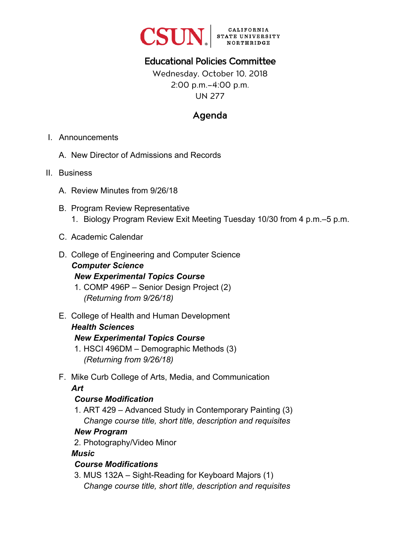

# Educational Policies Committee

Wednesday, October 10, 2018 2:00 p.m.–4:00 p.m. UN 277

# Agenda

- I. Announcements
	- A. New Director of Admissions and Records
- II. Business
	- A. Review Minutes from 9/26/18
	- B. Program Review Representative 1. Biology Program Review Exit Meeting Tuesday 10/30 from 4 p.m.–5 p.m.
	- C. Academic Calendar
	- D. College of Engineering and Computer Science *Computer Science New Experimental Topics Course* 
		- 1. COMP 496P Senior Design Project (2) *(Returning from 9/26/18)*
	- E. College of Health and Human Development

#### *Health Sciences*

#### *New Experimental Topics Course*

- 1. HSCI 496DM Demographic Methods (3) *(Returning from 9/26/18)*
- F. Mike Curb College of Arts, Media, and Communication *Art*

#### *Course Modification*

1. ART 429 – Advanced Study in Contemporary Painting (3) *Change course title, short title, description and requisites* 

#### *New Program*

2. Photography/Video Minor

#### *Music*

#### *Course Modifications*

3. MUS 132A – Sight-Reading for Keyboard Majors (1) *Change course title, short title, description and requisites*